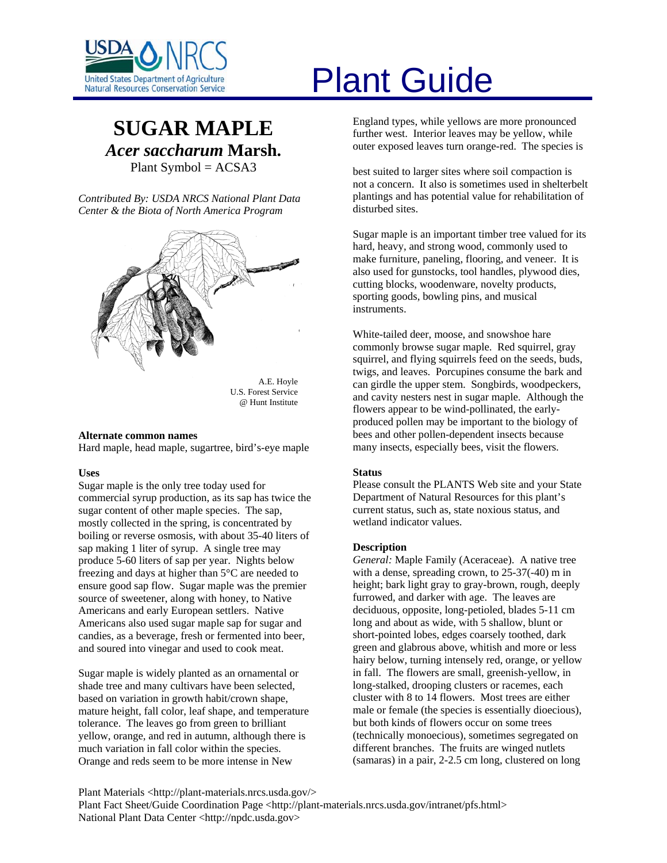

# **SUGAR MAPLE** *Acer saccharum* **Marsh.** Plant Symbol = ACSA3

*Contributed By: USDA NRCS National Plant Data Center & the Biota of North America Program* 



A.E. Hoyle U.S. Forest Service @ Hunt Institute

### **Alternate common names**

Hard maple, head maple, sugartree, bird's-eye maple

# **Uses**

Sugar maple is the only tree today used for commercial syrup production, as its sap has twice the sugar content of other maple species. The sap, mostly collected in the spring, is concentrated by boiling or reverse osmosis, with about 35-40 liters of sap making 1 liter of syrup. A single tree may produce 5-60 liters of sap per year. Nights below freezing and days at higher than 5°C are needed to ensure good sap flow. Sugar maple was the premier source of sweetener, along with honey, to Native Americans and early European settlers. Native Americans also used sugar maple sap for sugar and candies, as a beverage, fresh or fermented into beer, and soured into vinegar and used to cook meat.

Sugar maple is widely planted as an ornamental or shade tree and many cultivars have been selected, based on variation in growth habit/crown shape, mature height, fall color, leaf shape, and temperature tolerance. The leaves go from green to brilliant yellow, orange, and red in autumn, although there is much variation in fall color within the species. Orange and reds seem to be more intense in New

# Plant Guide

England types, while yellows are more pronounced further west. Interior leaves may be yellow, while outer exposed leaves turn orange-red. The species is

best suited to larger sites where soil compaction is not a concern. It also is sometimes used in shelterbelt plantings and has potential value for rehabilitation of disturbed sites.

Sugar maple is an important timber tree valued for its hard, heavy, and strong wood, commonly used to make furniture, paneling, flooring, and veneer. It is also used for gunstocks, tool handles, plywood dies, cutting blocks, woodenware, novelty products, sporting goods, bowling pins, and musical instruments.

White-tailed deer, moose, and snowshoe hare commonly browse sugar maple. Red squirrel, gray squirrel, and flying squirrels feed on the seeds, buds, twigs, and leaves. Porcupines consume the bark and can girdle the upper stem. Songbirds, woodpeckers, and cavity nesters nest in sugar maple. Although the flowers appear to be wind-pollinated, the earlyproduced pollen may be important to the biology of bees and other pollen-dependent insects because many insects, especially bees, visit the flowers.

# **Status**

Please consult the PLANTS Web site and your State Department of Natural Resources for this plant's current status, such as, state noxious status, and wetland indicator values.

# **Description**

*General:* Maple Family (Aceraceae). A native tree with a dense, spreading crown, to 25-37(-40) m in height; bark light gray to gray-brown, rough, deeply furrowed, and darker with age. The leaves are deciduous, opposite, long-petioled, blades 5-11 cm long and about as wide, with 5 shallow, blunt or short-pointed lobes, edges coarsely toothed, dark green and glabrous above, whitish and more or less hairy below, turning intensely red, orange, or yellow in fall. The flowers are small, greenish-yellow, in long-stalked, drooping clusters or racemes, each cluster with 8 to 14 flowers. Most trees are either male or female (the species is essentially dioecious), but both kinds of flowers occur on some trees (technically monoecious), sometimes segregated on different branches. The fruits are winged nutlets (samaras) in a pair, 2-2.5 cm long, clustered on long

Plant Materials <http://plant-materials.nrcs.usda.gov/> Plant Fact Sheet/Guide Coordination Page <http://plant-materials.nrcs.usda.gov/intranet/pfs.html> National Plant Data Center <http://npdc.usda.gov>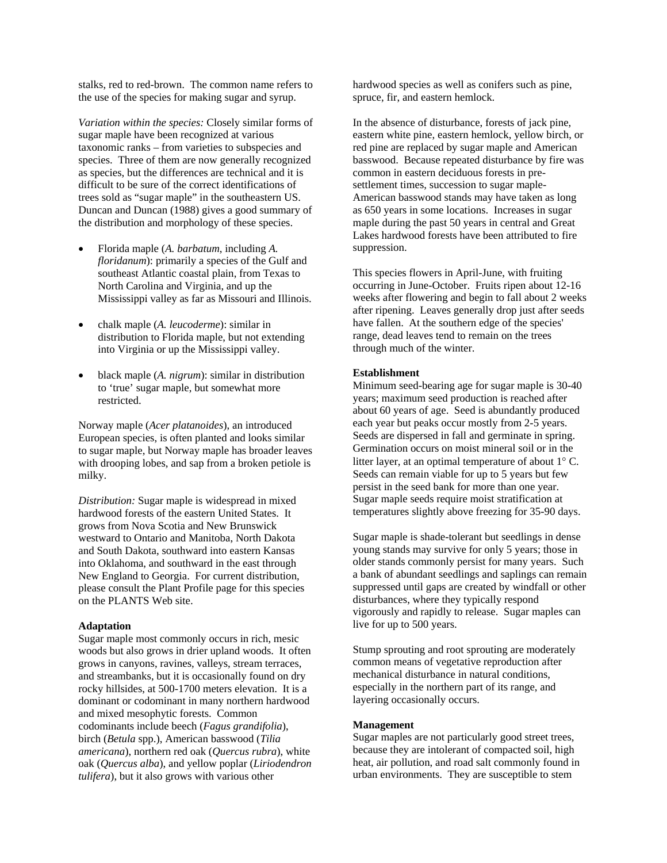stalks, red to red-brown. The common name refers to the use of the species for making sugar and syrup.

*Variation within the species:* Closely similar forms of sugar maple have been recognized at various taxonomic ranks – from varieties to subspecies and species. Three of them are now generally recognized as species, but the differences are technical and it is difficult to be sure of the correct identifications of trees sold as "sugar maple" in the southeastern US. Duncan and Duncan (1988) gives a good summary of the distribution and morphology of these species.

- Florida maple (*A. barbatum*, including *A. floridanum*): primarily a species of the Gulf and southeast Atlantic coastal plain, from Texas to North Carolina and Virginia, and up the Mississippi valley as far as Missouri and Illinois.
- chalk maple (*A. leucoderme*): similar in distribution to Florida maple, but not extending into Virginia or up the Mississippi valley.
- black maple (*A. nigrum*): similar in distribution to 'true' sugar maple, but somewhat more restricted.

Norway maple (*Acer platanoides*), an introduced European species, is often planted and looks similar to sugar maple, but Norway maple has broader leaves with drooping lobes, and sap from a broken petiole is milky.

*Distribution:* Sugar maple is widespread in mixed hardwood forests of the eastern United States. It grows from Nova Scotia and New Brunswick westward to Ontario and Manitoba, North Dakota and South Dakota, southward into eastern Kansas into Oklahoma, and southward in the east through New England to Georgia. For current distribution, please consult the Plant Profile page for this species on the PLANTS Web site.

# **Adaptation**

Sugar maple most commonly occurs in rich, mesic woods but also grows in drier upland woods. It often grows in canyons, ravines, valleys, stream terraces, and streambanks, but it is occasionally found on dry rocky hillsides, at 500-1700 meters elevation. It is a dominant or codominant in many northern hardwood and mixed mesophytic forests. Common codominants include beech (*Fagus grandifolia*), birch (*Betula* spp.), American basswood (*Tilia americana*), northern red oak (*Quercus rubra*), white oak (*Quercus alba*), and yellow poplar (*Liriodendron tulifera*), but it also grows with various other

hardwood species as well as conifers such as pine, spruce, fir, and eastern hemlock.

In the absence of disturbance, forests of jack pine, eastern white pine, eastern hemlock, yellow birch, or red pine are replaced by sugar maple and American basswood. Because repeated disturbance by fire was common in eastern deciduous forests in presettlement times, succession to sugar maple-American basswood stands may have taken as long as 650 years in some locations. Increases in sugar maple during the past 50 years in central and Great Lakes hardwood forests have been attributed to fire suppression.

This species flowers in April-June, with fruiting occurring in June-October. Fruits ripen about 12-16 weeks after flowering and begin to fall about 2 weeks after ripening. Leaves generally drop just after seeds have fallen. At the southern edge of the species' range, dead leaves tend to remain on the trees through much of the winter.

#### **Establishment**

Minimum seed-bearing age for sugar maple is 30-40 years; maximum seed production is reached after about 60 years of age. Seed is abundantly produced each year but peaks occur mostly from 2-5 years. Seeds are dispersed in fall and germinate in spring. Germination occurs on moist mineral soil or in the litter layer, at an optimal temperature of about 1° C. Seeds can remain viable for up to 5 years but few persist in the seed bank for more than one year. Sugar maple seeds require moist stratification at temperatures slightly above freezing for 35-90 days.

Sugar maple is shade-tolerant but seedlings in dense young stands may survive for only 5 years; those in older stands commonly persist for many years. Such a bank of abundant seedlings and saplings can remain suppressed until gaps are created by windfall or other disturbances, where they typically respond vigorously and rapidly to release. Sugar maples can live for up to 500 years.

Stump sprouting and root sprouting are moderately common means of vegetative reproduction after mechanical disturbance in natural conditions, especially in the northern part of its range, and layering occasionally occurs.

#### **Management**

Sugar maples are not particularly good street trees, because they are intolerant of compacted soil, high heat, air pollution, and road salt commonly found in urban environments. They are susceptible to stem